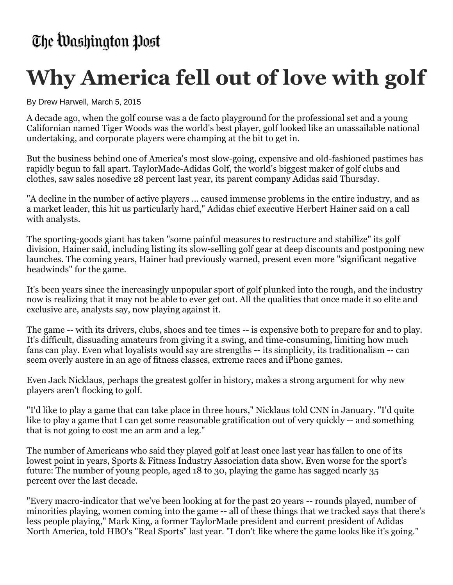## **Why America fell out of love with golf**

By Drew Harwell, March 5, 2015

A decade ago, when the golf course was a de facto playground for the professional set and a young Californian named Tiger Woods was the world's best player, golf looked like an unassailable national undertaking, and corporate players were champing at the bit to get in.

But the business behind one of America's most slow-going, expensive and old-fashioned pastimes has rapidly begun to fall apart. TaylorMade-Adidas Golf, the world's biggest maker of golf clubs and clothes, saw sales nosedive 28 percent last year, its parent company Adidas said Thursday.

"A decline in the number of active players ... caused immense problems in the entire industry, and as a market leader, this hit us particularly hard," Adidas chief executive Herbert Hainer said on a call with analysts.

The sporting-goods giant has taken "some painful measures to restructure and stabilize" its golf division, Hainer said, including listing its slow-selling golf gear at deep discounts and postponing new launches. The coming years, Hainer had previously warned, present even more "significant negative headwinds" for the game.

It's been years since the increasingly unpopular sport of golf plunked into the rough, and the industry now is realizing that it may not be able to ever get out. All the qualities that once made it so elite and exclusive are, analysts say, now playing against it.

The game -- with its drivers, clubs, shoes and tee times -- is expensive both to prepare for and to play. It's difficult, dissuading amateurs from giving it a swing, and time-consuming, limiting how much fans can play. Even what loyalists would say are strengths -- its simplicity, its traditionalism -- can seem overly austere in an age of fitness classes, extreme races and iPhone games.

Even Jack Nicklaus, perhaps the greatest golfer in history, makes a strong argument for why new players aren't flocking to golf.

"I'd like to play a game that can take place in three hours," Nicklaus told CNN in January. "I'd quite like to play a game that I can get some reasonable gratification out of very quickly -- and something that is not going to cost me an arm and a leg."

The number of Americans who said they played golf at least once last year has fallen to one of its lowest point in years, Sports & Fitness Industry Association data show. Even worse for the sport's future: The number of young people, aged 18 to 30, playing the game has sagged nearly 35 percent over the last decade.

"Every macro-indicator that we've been looking at for the past 20 years -- rounds played, number of minorities playing, women coming into the game -- all of these things that we tracked says that there's less people playing," Mark King, a former TaylorMade president and current president of Adidas North America, told HBO's "Real Sports" last year. "I don't like where the game looks like it's going."